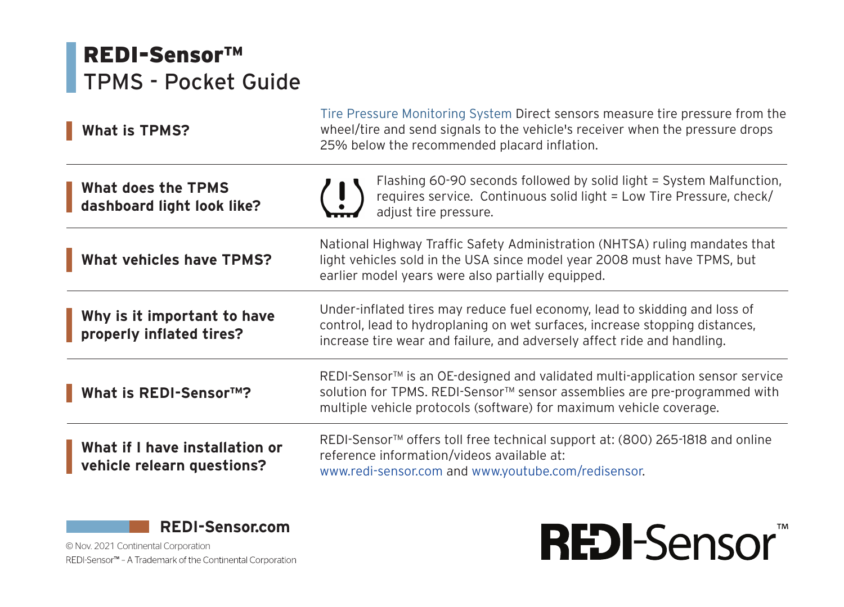## REDI-Sensor™ TPMS - Pocket Guide

| <b>What is TPMS?</b>                                         | Tire Pressure Monitoring System Direct sensors measure tire pressure from the<br>wheel/tire and send signals to the vehicle's receiver when the pressure drops<br>25% below the recommended placard inflation.                       |
|--------------------------------------------------------------|--------------------------------------------------------------------------------------------------------------------------------------------------------------------------------------------------------------------------------------|
| What does the TPMS<br>dashboard light look like?             | Flashing 60-90 seconds followed by solid light = System Malfunction,<br>requires service. Continuous solid light = Low Tire Pressure, check/<br>adjust tire pressure.                                                                |
| What vehicles have TPMS?                                     | National Highway Traffic Safety Administration (NHTSA) ruling mandates that<br>light vehicles sold in the USA since model year 2008 must have TPMS, but<br>earlier model years were also partially equipped.                         |
| Why is it important to have<br>properly inflated tires?      | Under-inflated tires may reduce fuel economy, lead to skidding and loss of<br>control, lead to hydroplaning on wet surfaces, increase stopping distances,<br>increase tire wear and failure, and adversely affect ride and handling. |
| What is REDI-Sensor™?                                        | REDI-Sensor™ is an OE-designed and validated multi-application sensor service<br>solution for TPMS. REDI-Sensor™ sensor assemblies are pre-programmed with<br>multiple vehicle protocols (software) for maximum vehicle coverage.    |
| What if I have installation or<br>vehicle relearn questions? | REDI-Sensor™ offers toll free technical support at: (800) 265-1818 and online<br>reference information/videos available at:<br>www.redi-sensor.com and www.youtube.com/redisensor.                                                   |



© Nov. 2021 Continental CorporationREDI-Sensor™ - A Trademark of the Continental Corporation